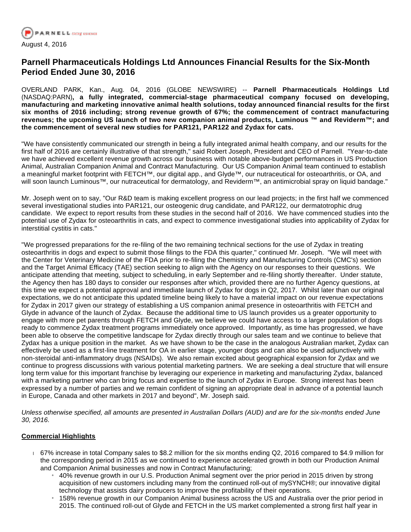

# **Parnell Pharmaceuticals Holdings Ltd Announces Financial Results for the Six-Month Period Ended June 30, 2016**

OVERLAND PARK, Kan., Aug. 04, 2016 (GLOBE NEWSWIRE) -- **Parnell Pharmaceuticals Holdings Ltd**  (NASDAQ:PARN)**, a fully integrated, commercial-stage pharmaceutical company focused on developing, manufacturing and marketing innovative animal health solutions, today announced financial results for the first six months of 2016 including; strong revenue growth of 67%; the commencement of contract manufacturing revenues; the upcoming US launch of two new companion animal products, Luminous ™ and Reviderm™; and the commencement of several new studies for PAR121, PAR122 and Zydax for cats.**

"We have consistently communicated our strength in being a fully integrated animal health company, and our results for the first half of 2016 are certainly illustrative of that strength," said Robert Joseph, President and CEO of Parnell. "Year-to-date we have achieved excellent revenue growth across our business with notable above-budget performances in US Production Animal, Australian Companion Animal and Contract Manufacturing. Our US Companion Animal team continued to establish a meaningful market footprint with FETCH™, our digital app., and Glyde™, our nutraceutical for osteoarthritis, or OA, and will soon launch Luminous™, our nutraceutical for dermatology, and Reviderm™, an antimicrobial spray on liquid bandage."

Mr. Joseph went on to say, "Our R&D team is making excellent progress on our lead projects; in the first half we commenced several investigational studies into PAR121, our osteogenic drug candidate, and PAR122, our dermatotrophic drug candidate. We expect to report results from these studies in the second half of 2016. We have commenced studies into the potential use of Zydax for osteoarthritis in cats, and expect to commence investigational studies into applicability of Zydax for interstitial cystitis in cats."

"We progressed preparations for the re-filing of the two remaining technical sections for the use of Zydax in treating osteoarthritis in dogs and expect to submit those filings to the FDA this quarter," continued Mr. Joseph. "We will meet with the Center for Veterinary Medicine of the FDA prior to re-filing the Chemistry and Manufacturing Controls (CMC's) section and the Target Animal Efficacy (TAE) section seeking to align with the Agency on our responses to their questions. We anticipate attending that meeting, subject to scheduling, in early September and re-filing shortly thereafter. Under statute, the Agency then has 180 days to consider our responses after which, provided there are no further Agency questions, at this time we expect a potential approval and immediate launch of Zydax for dogs in Q2, 2017. Whilst later than our original expectations, we do not anticipate this updated timeline being likely to have a material impact on our revenue expectations for Zydax in 2017 given our strategy of establishing a US companion animal presence in osteoarthritis with FETCH and Glyde in advance of the launch of Zydax. Because the additional time to US launch provides us a greater opportunity to engage with more pet parents through FETCH and Glyde, we believe we could have access to a larger population of dogs ready to commence Zydax treatment programs immediately once approved. Importantly, as time has progressed, we have been able to observe the competitive landscape for Zydax directly through our sales team and we continue to believe that Zydax has a unique position in the market. As we have shown to be the case in the analogous Australian market, Zydax can effectively be used as a first-line treatment for OA in earlier stage, younger dogs and can also be used adjunctively with non-steroidal anti-inflammatory drugs (NSAIDs). We also remain excited about geographical expansion for Zydax and we continue to progress discussions with various potential marketing partners. We are seeking a deal structure that will ensure long term value for this important franchise by leveraging our experience in marketing and manufacturing Zydax, balanced with a marketing partner who can bring focus and expertise to the launch of Zydax in Europe. Strong interest has been expressed by a number of parties and we remain confident of signing an appropriate deal in advance of a potential launch in Europe, Canada and other markets in 2017 and beyond", Mr. Joseph said.

Unless otherwise specified, all amounts are presented in Australian Dollars (AUD) and are for the six-months ended June 30, 2016.

### **Commercial Highlights**

- 67% increase in total Company sales to \$8.2 million for the six months ending Q2, 2016 compared to \$4.9 million for the corresponding period in 2015 as we continued to experience accelerated growth in both our Production Animal and Companion Animal businesses and now in Contract Manufacturing;
	- <sup>1</sup> 40% revenue growth in our U.S. Production Animal segment over the prior period in 2015 driven by strong acquisition of new customers including many from the continued roll-out of mySYNCH®; our innovative digital technology that assists dairy producers to improve the profitability of their operations.
	- 158% revenue growth in our Companion Animal business across the US and Australia over the prior period in 2015. The continued roll-out of Glyde and FETCH in the US market complemented a strong first half year in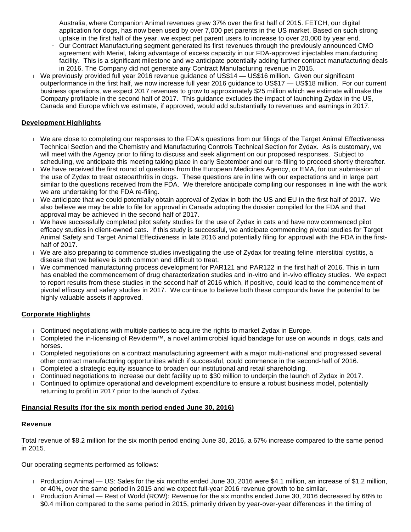Australia, where Companion Animal revenues grew 37% over the first half of 2015. FETCH, our digital application for dogs, has now been used by over 7,000 pet parents in the US market. Based on such strong uptake in the first half of the year, we expect pet parent users to increase to over 20,000 by year end.

- » Our Contract Manufacturing segment generated its first revenues through the previously announced CMO agreement with Merial, taking advantage of excess capacity in our FDA-approved injectables manufacturing facility. This is a significant milestone and we anticipate potentially adding further contract manufacturing deals in 2016. The Company did not generate any Contract Manufacturing revenue in 2015.
- We previously provided full year 2016 revenue guidance of US\$14 US\$16 million. Given our significant outperformance in the first half, we now increase full year 2016 guidance to US\$17 — US\$18 million. For our current business operations, we expect 2017 revenues to grow to approximately \$25 million which we estimate will make the Company profitable in the second half of 2017. This guidance excludes the impact of launching Zydax in the US, Canada and Europe which we estimate, if approved, would add substantially to revenues and earnings in 2017.

## **Development Highlights**

- We are close to completing our responses to the FDA's questions from our filings of the Target Animal Effectiveness Technical Section and the Chemistry and Manufacturing Controls Technical Section for Zydax. As is customary, we will meet with the Agency prior to filing to discuss and seek alignment on our proposed responses. Subject to scheduling, we anticipate this meeting taking place in early September and our re-filing to proceed shortly thereafter.
- We have received the first round of questions from the European Medicines Agency, or EMA, for our submission of the use of Zydax to treat osteoarthritis in dogs. These questions are in line with our expectations and in large part similar to the questions received from the FDA. We therefore anticipate compiling our responses in line with the work we are undertaking for the FDA re-filing.
- We anticipate that we could potentially obtain approval of Zydax in both the US and EU in the first half of 2017. We also believe we may be able to file for approval in Canada adopting the dossier compiled for the FDA and that approval may be achieved in the second half of 2017.
- We have successfully completed pilot safety studies for the use of Zydax in cats and have now commenced pilot efficacy studies in client-owned cats. If this study is successful, we anticipate commencing pivotal studies for Target Animal Safety and Target Animal Effectiveness in late 2016 and potentially filing for approval with the FDA in the firsthalf of 2017.
- We are also preparing to commence studies investigating the use of Zydax for treating feline interstitial cystitis, a disease that we believe is both common and difficult to treat.
- We commenced manufacturing process development for PAR121 and PAR122 in the first half of 2016. This in turn has enabled the commencement of drug characterization studies and in-vitro and in-vivo efficacy studies. We expect to report results from these studies in the second half of 2016 which, if positive, could lead to the commencement of pivotal efficacy and safety studies in 2017. We continue to believe both these compounds have the potential to be highly valuable assets if approved.

### **Corporate Highlights**

- $\Box$  Continued negotiations with multiple parties to acquire the rights to market Zydax in Europe.
- Completed the in-licensing of Reviderm™, a novel antimicrobial liquid bandage for use on wounds in dogs, cats and horses.
- Completed negotiations on a contract manufacturing agreement with a major multi-national and progressed several other contract manufacturing opportunities which if successful, could commence in the second-half of 2016.
- Completed a strategic equity issuance to broaden our institutional and retail shareholding.
- Continued negotiations to increase our debt facility up to \$30 million to underpin the launch of Zydax in 2017.
- Continued to optimize operational and development expenditure to ensure a robust business model, potentially returning to profit in 2017 prior to the launch of Zydax.

### **Financial Results (for the six month period ended June 30, 2016)**

### **Revenue**

Total revenue of \$8.2 million for the six month period ending June 30, 2016, a 67% increase compared to the same period in 2015.

Our operating segments performed as follows:

- Production Animal US: Sales for the six months ended June 30, 2016 were \$4.1 million, an increase of \$1.2 million, or 40%, over the same period in 2015 and we expect full-year 2016 revenue growth to be similar.
- Production Animal Rest of World (ROW): Revenue for the six months ended June 30, 2016 decreased by 68% to \$0.4 million compared to the same period in 2015, primarily driven by year-over-year differences in the timing of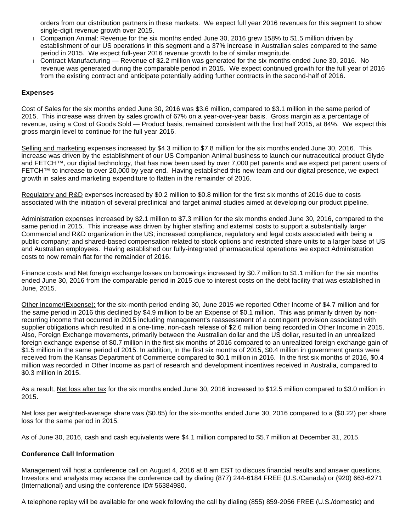orders from our distribution partners in these markets. We expect full year 2016 revenues for this segment to show single-digit revenue growth over 2015.

- Companion Animal: Revenue for the six months ended June 30, 2016 grew 158% to \$1.5 million driven by establishment of our US operations in this segment and a 37% increase in Australian sales compared to the same period in 2015. We expect full-year 2016 revenue growth to be of similar magnitude.
- Contract Manufacturing Revenue of \$2.2 million was generated for the six months ended June 30, 2016. No revenue was generated during the comparable period in 2015. We expect continued growth for the full year of 2016 from the existing contract and anticipate potentially adding further contracts in the second-half of 2016.

#### **Expenses**

Cost of Sales for the six months ended June 30, 2016 was \$3.6 million, compared to \$3.1 million in the same period of 2015. This increase was driven by sales growth of 67% on a year-over-year basis. Gross margin as a percentage of revenue, using a Cost of Goods Sold — Product basis, remained consistent with the first half 2015, at 84%. We expect this gross margin level to continue for the full year 2016.

Selling and marketing expenses increased by \$4.3 million to \$7.8 million for the six months ended June 30, 2016. This increase was driven by the establishment of our US Companion Animal business to launch our nutraceutical product Glyde and FETCH™, our digital technology, that has now been used by over 7,000 pet parents and we expect pet parent users of FETCH™ to increase to over 20,000 by year end. Having established this new team and our digital presence, we expect growth in sales and marketing expenditure to flatten in the remainder of 2016.

Regulatory and R&D expenses increased by \$0.2 million to \$0.8 million for the first six months of 2016 due to costs associated with the initiation of several preclinical and target animal studies aimed at developing our product pipeline.

Administration expenses increased by \$2.1 million to \$7.3 million for the six months ended June 30, 2016, compared to the same period in 2015. This increase was driven by higher staffing and external costs to support a substantially larger Commercial and R&D organization in the US; increased compliance, regulatory and legal costs associated with being a public company; and shared-based compensation related to stock options and restricted share units to a larger base of US and Australian employees. Having established our fully-integrated pharmaceutical operations we expect Administration costs to now remain flat for the remainder of 2016.

Finance costs and Net foreign exchange losses on borrowings increased by \$0.7 million to \$1.1 million for the six months ended June 30, 2016 from the comparable period in 2015 due to interest costs on the debt facility that was established in June, 2015.

Other Income/(Expense): for the six-month period ending 30, June 2015 we reported Other Income of \$4.7 million and for the same period in 2016 this declined by \$4.9 million to be an Expense of \$0.1 million. This was primarily driven by nonrecurring income that occurred in 2015 including management's reassessment of a contingent provision associated with supplier obligations which resulted in a one-time, non-cash release of \$2.6 million being recorded in Other Income in 2015. Also, Foreign Exchange movements, primarily between the Australian dollar and the US dollar, resulted in an unrealized foreign exchange expense of \$0.7 million in the first six months of 2016 compared to an unrealized foreign exchange gain of \$1.5 million in the same period of 2015. In addition, in the first six months of 2015, \$0.4 million in government grants were received from the Kansas Department of Commerce compared to \$0.1 million in 2016. In the first six months of 2016, \$0.4 million was recorded in Other Income as part of research and development incentives received in Australia, compared to \$0.3 million in 2015.

As a result, Net loss after tax for the six months ended June 30, 2016 increased to \$12.5 million compared to \$3.0 million in 2015.

Net loss per weighted-average share was (\$0.85) for the six-months ended June 30, 2016 compared to a (\$0.22) per share loss for the same period in 2015.

As of June 30, 2016, cash and cash equivalents were \$4.1 million compared to \$5.7 million at December 31, 2015.

#### **Conference Call Information**

Management will host a conference call on August 4, 2016 at 8 am EST to discuss financial results and answer questions. Investors and analysts may access the conference call by dialing (877) 244-6184 FREE (U.S./Canada) or (920) 663-6271 (International) and using the conference ID# 56384980.

A telephone replay will be available for one week following the call by dialing (855) 859-2056 FREE (U.S./domestic) and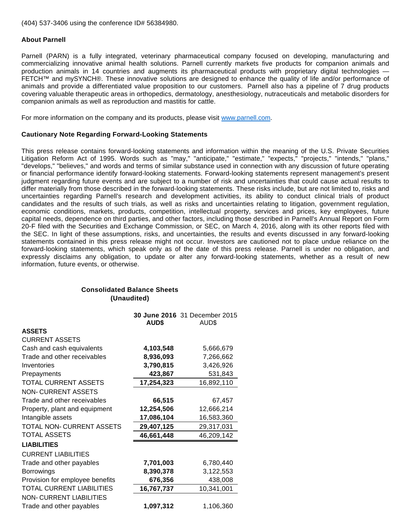(404) 537-3406 using the conference ID# 56384980.

#### **About Parnell**

Parnell (PARN) is a fully integrated, veterinary pharmaceutical company focused on developing, manufacturing and commercializing innovative animal health solutions. Parnell currently markets five products for companion animals and production animals in 14 countries and augments its pharmaceutical products with proprietary digital technologies — FETCH™ and mySYNCH®. These innovative solutions are designed to enhance the quality of life and/or performance of animals and provide a differentiated value proposition to our customers. Parnell also has a pipeline of 7 drug products covering valuable therapeutic areas in orthopedics, dermatology, anesthesiology, nutraceuticals and metabolic disorders for companion animals as well as reproduction and mastitis for cattle.

For more information on the company and its products, please visit [www.parnell.com.](https://www.globenewswire.com/Tracker?data=jUI5dh_BoKwG7kProUj2zzsH_9pA7BeydyNwObcP2-0Lhc7fUM8DBDKmCNrv39ZmD_Ofvx7O_GxKNK5sPMIq5A==)

#### **Cautionary Note Regarding Forward-Looking Statements**

This press release contains forward-looking statements and information within the meaning of the U.S. Private Securities Litigation Reform Act of 1995. Words such as "may," "anticipate," "estimate," "expects," "projects," "intends," "plans," "develops," "believes," and words and terms of similar substance used in connection with any discussion of future operating or financial performance identify forward-looking statements. Forward-looking statements represent management's present judgment regarding future events and are subject to a number of risk and uncertainties that could cause actual results to differ materially from those described in the forward-looking statements. These risks include, but are not limited to, risks and uncertainties regarding Parnell's research and development activities, its ability to conduct clinical trials of product candidates and the results of such trials, as well as risks and uncertainties relating to litigation, government regulation, economic conditions, markets, products, competition, intellectual property, services and prices, key employees, future capital needs, dependence on third parties, and other factors, including those described in Parnell's Annual Report on Form 20-F filed with the Securities and Exchange Commission, or SEC, on March 4, 2016, along with its other reports filed with the SEC. In light of these assumptions, risks, and uncertainties, the results and events discussed in any forward-looking statements contained in this press release might not occur. Investors are cautioned not to place undue reliance on the forward-looking statements, which speak only as of the date of this press release. Parnell is under no obligation, and expressly disclaims any obligation, to update or alter any forward-looking statements, whether as a result of new information, future events, or otherwise.

### **Consolidated Balance Sheets (Unaudited)**

|                                 | AUD\$      | 30 June 2016 31 December 2015<br>AUD\$ |
|---------------------------------|------------|----------------------------------------|
| <b>ASSETS</b>                   |            |                                        |
| <b>CURRENT ASSETS</b>           |            |                                        |
| Cash and cash equivalents       | 4,103,548  | 5,666,679                              |
| Trade and other receivables     | 8,936,093  | 7,266,662                              |
| Inventories                     | 3,790,815  | 3,426,926                              |
| Prepayments                     | 423,867    | 531,843                                |
| TOTAL CURRENT ASSETS            | 17,254,323 | 16,892,110                             |
| <b>NON-CURRENT ASSETS</b>       |            |                                        |
| Trade and other receivables     | 66,515     | 67,457                                 |
| Property, plant and equipment   | 12,254,506 | 12,666,214                             |
| Intangible assets               | 17,086,104 | 16,583,360                             |
| TOTAL NON-CURRENT ASSETS        | 29,407,125 | 29,317,031                             |
| <b>TOTAL ASSETS</b>             | 46,661,448 | 46,209,142                             |
| <b>LIABILITIES</b>              |            |                                        |
| <b>CURRENT LIABILITIES</b>      |            |                                        |
| Trade and other payables        | 7,701,003  | 6,780,440                              |
| <b>Borrowings</b>               | 8,390,378  | 3,122,553                              |
| Provision for employee benefits | 676,356    | 438,008                                |
| TOTAL CURRENT LIABILITIES       | 16,767,737 | 10,341,001                             |
| <b>NON-CURRENT LIABILITIES</b>  |            |                                        |
| Trade and other payables        | 1,097,312  | 1,106,360                              |